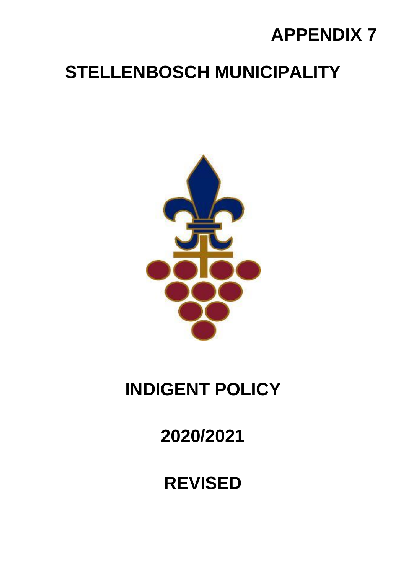# **APPENDIX 7**

# **STELLENBOSCH MUNICIPALITY**



# **INDIGENT POLICY**

**2020/2021**

## **REVISED**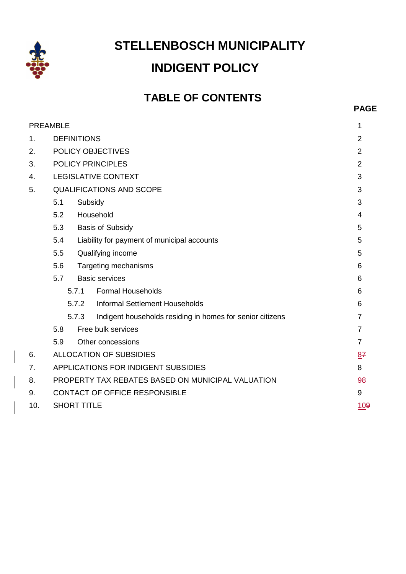

## **STELLENBOSCH MUNICIPALITY INDIGENT POLICY**

### **TABLE OF CONTENTS**

**PAGE**

|     | <b>PREAMBLE</b>                                   |                                                           |                |  |
|-----|---------------------------------------------------|-----------------------------------------------------------|----------------|--|
| 1.  |                                                   | <b>DEFINITIONS</b>                                        |                |  |
| 2.  |                                                   | POLICY OBJECTIVES                                         |                |  |
| 3.  |                                                   | <b>POLICY PRINCIPLES</b>                                  | $\overline{2}$ |  |
| 4.  |                                                   | <b>LEGISLATIVE CONTEXT</b>                                | 3              |  |
| 5.  | <b>QUALIFICATIONS AND SCOPE</b>                   |                                                           |                |  |
|     | 5.1                                               | Subsidy                                                   |                |  |
|     | 5.2                                               | Household                                                 |                |  |
|     | 5.3                                               | <b>Basis of Subsidy</b>                                   |                |  |
|     | 5.4                                               | Liability for payment of municipal accounts               |                |  |
|     | 5.5                                               | Qualifying income                                         |                |  |
|     | 5.6<br>Targeting mechanisms                       |                                                           | 6              |  |
|     | <b>Basic services</b><br>5.7                      |                                                           | 6              |  |
|     | 5.7.1                                             | <b>Formal Households</b>                                  | 6              |  |
|     | 5.7.2                                             | Informal Settlement Households                            | 6              |  |
|     | 5.7.3                                             | Indigent households residing in homes for senior citizens | $\overline{7}$ |  |
|     | 5.8                                               | Free bulk services                                        | $\overline{7}$ |  |
|     | 5.9<br>Other concessions                          | $\overline{7}$                                            |                |  |
| 6.  | <b>ALLOCATION OF SUBSIDIES</b>                    |                                                           | 87             |  |
| 7.  | APPLICATIONS FOR INDIGENT SUBSIDIES               |                                                           | 8              |  |
| 8.  | PROPERTY TAX REBATES BASED ON MUNICIPAL VALUATION |                                                           | 98             |  |
| 9.  | <b>CONTACT OF OFFICE RESPONSIBLE</b>              |                                                           | 9              |  |
| 10. | <b>SHORT TITLE</b>                                |                                                           | <u>109</u>     |  |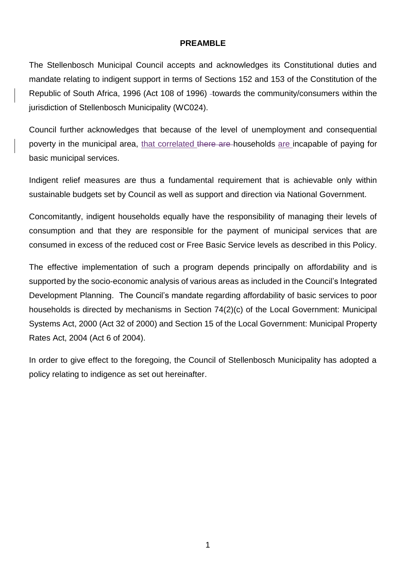#### <span id="page-2-0"></span>**PREAMBLE**

The Stellenbosch Municipal Council accepts and acknowledges its Constitutional duties and mandate relating to indigent support in terms of Sections 152 and 153 of the Constitution of the Republic of South Africa, 1996 (Act 108 of 1996) -towards the community/consumers within the jurisdiction of Stellenbosch Municipality (WC024).

Council further acknowledges that because of the level of unemployment and consequential poverty in the municipal area, that correlated there are households are incapable of paying for basic municipal services.

Indigent relief measures are thus a fundamental requirement that is achievable only within sustainable budgets set by Council as well as support and direction via National Government.

Concomitantly, indigent households equally have the responsibility of managing their levels of consumption and that they are responsible for the payment of municipal services that are consumed in excess of the reduced cost or Free Basic Service levels as described in this Policy.

The effective implementation of such a program depends principally on affordability and is supported by the socio-economic analysis of various areas as included in the Council's Integrated Development Planning. The Council's mandate regarding affordability of basic services to poor households is directed by mechanisms in Section 74(2)(c) of the Local Government: Municipal Systems Act, 2000 (Act 32 of 2000) and Section 15 of the Local Government: Municipal Property Rates Act, 2004 (Act 6 of 2004).

In order to give effect to the foregoing, the Council of Stellenbosch Municipality has adopted a policy relating to indigence as set out hereinafter.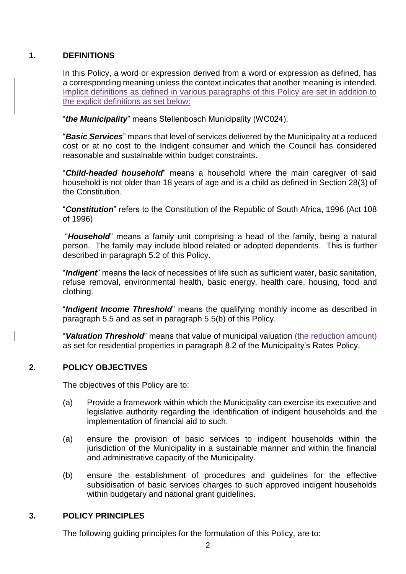#### **1. DEFINITIONS**

<span id="page-3-0"></span>In this Policy, a word or expression derived from a word or expression as defined, has a corresponding meaning unless the context indicates that another meaning is intended. Implicit definitions as defined in various paragraphs of this Policy are set in addition to the explicit definitions as set below:

"*the Municipality*" means Stellenbosch Municipality (WC024).

"*Basic Services*" means that level of services delivered by the Municipality at a reduced cost or at no cost to the Indigent consumer and which the Council has considered reasonable and sustainable within budget constraints.

"*Child-headed household*" means a household where the main caregiver of said household is not older than 18 years of age and is a child as defined in Section 28(3) of the Constitution.

"*Constitution*" refers to the Constitution of the Republic of South Africa, 1996 (Act 108 of 1996)

"*Household*" means a family unit comprising a head of the family, being a natural person. The family may include blood related or adopted dependents. This is further described in paragraph 5.2 of this Policy.

"*Indigent*" means the lack of necessities of life such as sufficient water, basic sanitation, refuse removal, environmental health, basic energy, health care, housing, food and clothing.

"*Indigent Income Threshold*" means the qualifying monthly income as described in paragraph 5.5 and as set in paragraph 5.5(b) of this Policy.

"*Valuation Threshold*" means that value of municipal valuation (the reduction amount) as set for residential properties in paragraph 8.2 of the Municipality's Rates Policy.

#### **2. POLICY OBJECTIVES**

<span id="page-3-1"></span>The objectives of this Policy are to:

- (a) Provide a framework within which the Municipality can exercise its executive and legislative authority regarding the identification of indigent households and the implementation of financial aid to such.
- (a) ensure the provision of basic services to indigent households within the jurisdiction of the Municipality in a sustainable manner and within the financial and administrative capacity of the Municipality.
- (b) ensure the establishment of procedures and guidelines for the effective subsidisation of basic services charges to such approved indigent households within budgetary and national grant guidelines.

#### **3. POLICY PRINCIPLES**

<span id="page-3-2"></span>The following guiding principles for the formulation of this Policy, are to: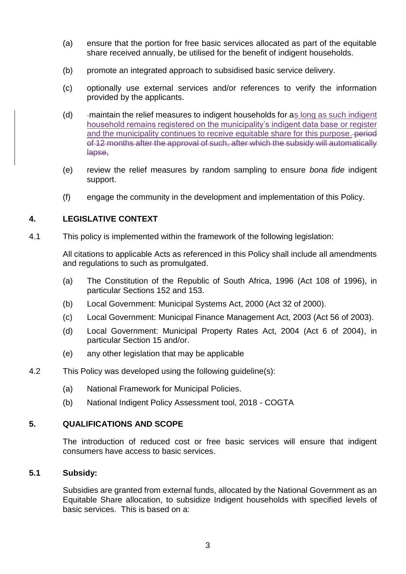- (a) ensure that the portion for free basic services allocated as part of the equitable share received annually, be utilised for the benefit of indigent households.
- (b) promote an integrated approach to subsidised basic service delivery.
- (c) optionally use external services and/or references to verify the information provided by the applicants.
- (d) maintain the relief measures to indigent households for as long as such indigent household remains registered on the municipality's indigent data base or register and the municipality continues to receive equitable share for this purpose. period of 12 months after the approval of such, after which the subsidy will automatically lapse,
- (e) review the relief measures by random sampling to ensure *bona fide* indigent support.
- <span id="page-4-0"></span>(f) engage the community in the development and implementation of this Policy.

#### **4. LEGISLATIVE CONTEXT**

4.1 This policy is implemented within the framework of the following legislation:

All citations to applicable Acts as referenced in this Policy shall include all amendments and regulations to such as promulgated.

- (a) The Constitution of the Republic of South Africa, 1996 (Act 108 of 1996), in particular Sections 152 and 153.
- (b) Local Government: Municipal Systems Act, 2000 (Act 32 of 2000).
- (c) Local Government: Municipal Finance Management Act, 2003 (Act 56 of 2003).
- (d) Local Government: Municipal Property Rates Act, 2004 (Act 6 of 2004), in particular Section 15 and/or.
- (e) any other legislation that may be applicable
- 4.2 This Policy was developed using the following guideline(s):
	- (a) National Framework for Municipal Policies.
	- (b) National Indigent Policy Assessment tool, 2018 COGTA

#### **5. QUALIFICATIONS AND SCOPE**

<span id="page-4-1"></span>The introduction of reduced cost or free basic services will ensure that indigent consumers have access to basic services.

#### **5.1 Subsidy:**

<span id="page-4-2"></span>Subsidies are granted from external funds, allocated by the National Government as an Equitable Share allocation, to subsidize Indigent households with specified levels of basic services. This is based on a: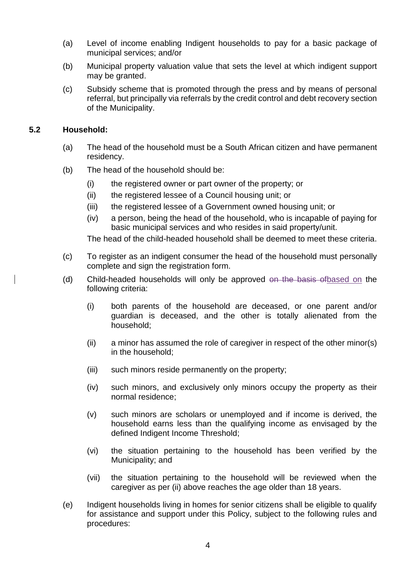- (a) Level of income enabling Indigent households to pay for a basic package of municipal services; and/or
- (b) Municipal property valuation value that sets the level at which indigent support may be granted.
- (c) Subsidy scheme that is promoted through the press and by means of personal referral, but principally via referrals by the credit control and debt recovery section of the Municipality.

#### **5.2 Household:**

- <span id="page-5-0"></span>(a) The head of the household must be a South African citizen and have permanent residency.
- (b) The head of the household should be:
	- (i) the registered owner or part owner of the property; or
	- (ii) the registered lessee of a Council housing unit; or
	- (iii) the registered lessee of a Government owned housing unit; or
	- (iv) a person, being the head of the household, who is incapable of paying for basic municipal services and who resides in said property/unit.

The head of the child-headed household shall be deemed to meet these criteria.

- (c) To register as an indigent consumer the head of the household must personally complete and sign the registration form.
- (d) Child-headed households will only be approved on the basis ofbased on the following criteria:
	- (i) both parents of the household are deceased, or one parent and/or guardian is deceased, and the other is totally alienated from the household;
	- (ii) a minor has assumed the role of caregiver in respect of the other minor(s) in the household;
	- (iii) such minors reside permanently on the property;
	- (iv) such minors, and exclusively only minors occupy the property as their normal residence;
	- (v) such minors are scholars or unemployed and if income is derived, the household earns less than the qualifying income as envisaged by the defined Indigent Income Threshold;
	- (vi) the situation pertaining to the household has been verified by the Municipality; and
	- (vii) the situation pertaining to the household will be reviewed when the caregiver as per (ii) above reaches the age older than 18 years.
- (e) Indigent households living in homes for senior citizens shall be eligible to qualify for assistance and support under this Policy, subject to the following rules and procedures: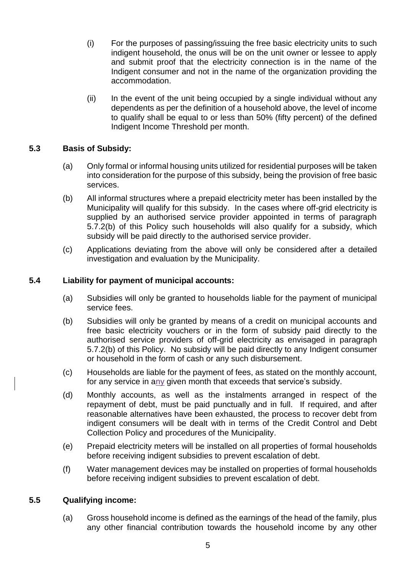- (i) For the purposes of passing/issuing the free basic electricity units to such indigent household, the onus will be on the unit owner or lessee to apply and submit proof that the electricity connection is in the name of the Indigent consumer and not in the name of the organization providing the accommodation.
- <span id="page-6-0"></span>(ii) In the event of the unit being occupied by a single individual without any dependents as per the definition of a household above, the level of income to qualify shall be equal to or less than 50% (fifty percent) of the defined Indigent Income Threshold per month.

#### **5.3 Basis of Subsidy:**

- (a) Only formal or informal housing units utilized for residential purposes will be taken into consideration for the purpose of this subsidy, being the provision of free basic services.
- (b) All informal structures where a prepaid electricity meter has been installed by the Municipality will qualify for this subsidy. In the cases where off-grid electricity is supplied by an authorised service provider appointed in terms of paragraph 5.7.2(b) of this Policy such households will also qualify for a subsidy, which subsidy will be paid directly to the authorised service provider.
- <span id="page-6-1"></span>(c) Applications deviating from the above will only be considered after a detailed investigation and evaluation by the Municipality.

#### **5.4 Liability for payment of municipal accounts:**

- (a) Subsidies will only be granted to households liable for the payment of municipal service fees.
- (b) Subsidies will only be granted by means of a credit on municipal accounts and free basic electricity vouchers or in the form of subsidy paid directly to the authorised service providers of off-grid electricity as envisaged in paragraph 5.7.2(b) of this Policy. No subsidy will be paid directly to any Indigent consumer or household in the form of cash or any such disbursement.
- (c) Households are liable for the payment of fees, as stated on the monthly account, for any service in any given month that exceeds that service's subsidy.
- (d) Monthly accounts, as well as the instalments arranged in respect of the repayment of debt, must be paid punctually and in full. If required, and after reasonable alternatives have been exhausted, the process to recover debt from indigent consumers will be dealt with in terms of the Credit Control and Debt Collection Policy and procedures of the Municipality.
- (e) Prepaid electricity meters will be installed on all properties of formal households before receiving indigent subsidies to prevent escalation of debt.
- <span id="page-6-2"></span>(f) Water management devices may be installed on properties of formal households before receiving indigent subsidies to prevent escalation of debt.

#### **5.5 Qualifying income:**

(a) Gross household income is defined as the earnings of the head of the family, plus any other financial contribution towards the household income by any other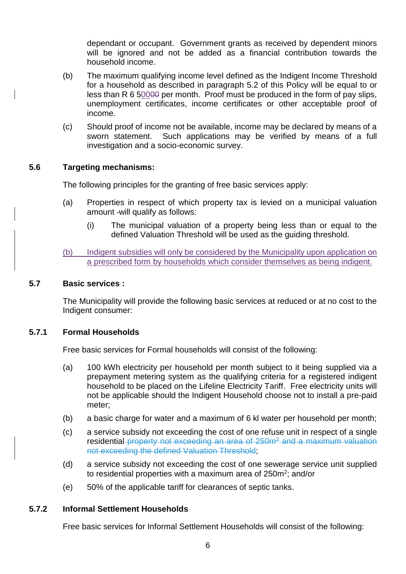dependant or occupant. Government grants as received by dependent minors will be ignored and not be added as a financial contribution towards the household income.

- (b) The maximum qualifying income level defined as the Indigent Income Threshold for a household as described in paragraph 5.2 of this Policy will be equal to or less than R 6 50000 per month. Proof must be produced in the form of pay slips, unemployment certificates, income certificates or other acceptable proof of income.
- (c) Should proof of income not be available, income may be declared by means of a sworn statement. Such applications may be verified by means of a full investigation and a socio-economic survey.

#### **5.6 Targeting mechanisms:**

<span id="page-7-0"></span>The following principles for the granting of free basic services apply:

- (a) Properties in respect of which property tax is levied on a municipal valuation amount -will qualify as follows:
	- (i) The municipal valuation of a property being less than or equal to the defined Valuation Threshold will be used as the guiding threshold.

<span id="page-7-1"></span>(b) Indigent subsidies will only be considered by the Municipality upon application on a prescribed form by households which consider themselves as being indigent.

#### **5.7 Basic services :**

The Municipality will provide the following basic services at reduced or at no cost to the Indigent consumer:

#### **5.7.1 Formal Households**

<span id="page-7-2"></span>Free basic services for Formal households will consist of the following:

- (a) 100 kWh electricity per household per month subject to it being supplied via a prepayment metering system as the qualifying criteria for a registered indigent household to be placed on the Lifeline Electricity Tariff. Free electricity units will not be applicable should the Indigent Household choose not to install a pre-paid meter;
- (b) a basic charge for water and a maximum of 6 kl water per household per month;
- (c) a service subsidy not exceeding the cost of one refuse unit in respect of a single residential property not exceeding an area of 250m<sup>2</sup> and a maximum valuation not exceeding the defined Valuation Threshold;
- (d) a service subsidy not exceeding the cost of one sewerage service unit supplied to residential properties with a maximum area of 250m<sup>2</sup>; and/or
- <span id="page-7-3"></span>(e) 50% of the applicable tariff for clearances of septic tanks.

#### **5.7.2 Informal Settlement Households**

Free basic services for Informal Settlement Households will consist of the following: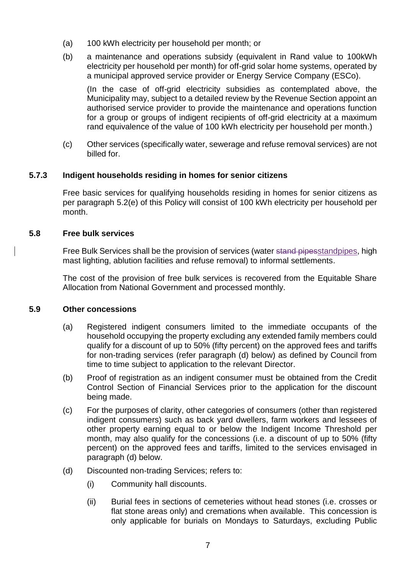- (a) 100 kWh electricity per household per month; or
- (b) a maintenance and operations subsidy (equivalent in Rand value to 100kWh electricity per household per month) for off-grid solar home systems, operated by a municipal approved service provider or Energy Service Company (ESCo).

<span id="page-8-0"></span>(In the case of off-grid electricity subsidies as contemplated above, the Municipality may, subject to a detailed review by the Revenue Section appoint an authorised service provider to provide the maintenance and operations function for a group or groups of indigent recipients of off-grid electricity at a maximum rand equivalence of the value of 100 kWh electricity per household per month.)

(c) Other services (specifically water, sewerage and refuse removal services) are not billed for.

#### **5.7.3 Indigent households residing in homes for senior citizens**

Free basic services for qualifying households residing in homes for senior citizens as per paragraph 5.2(e) of this Policy will consist of 100 kWh electricity per household per month.

#### **5.8 Free bulk services**

<span id="page-8-1"></span>Free Bulk Services shall be the provision of services (water stand pipesstandpipes, high mast lighting, ablution facilities and refuse removal) to informal settlements.

The cost of the provision of free bulk services is recovered from the Equitable Share Allocation from National Government and processed monthly.

#### **5.9 Other concessions**

- <span id="page-8-2"></span>(a) Registered indigent consumers limited to the immediate occupants of the household occupying the property excluding any extended family members could qualify for a discount of up to 50% (fifty percent) on the approved fees and tariffs for non-trading services (refer paragraph (d) below) as defined by Council from time to time subject to application to the relevant Director.
- (b) Proof of registration as an indigent consumer must be obtained from the Credit Control Section of Financial Services prior to the application for the discount being made.
- (c) For the purposes of clarity, other categories of consumers (other than registered indigent consumers) such as back yard dwellers, farm workers and lessees of other property earning equal to or below the Indigent Income Threshold per month, may also qualify for the concessions (i.e. a discount of up to 50% (fifty percent) on the approved fees and tariffs, limited to the services envisaged in paragraph (d) below.
- (d) Discounted non-trading Services; refers to:
	- (i) Community hall discounts.
	- (ii) Burial fees in sections of cemeteries without head stones (i.e. crosses or flat stone areas only) and cremations when available. This concession is only applicable for burials on Mondays to Saturdays, excluding Public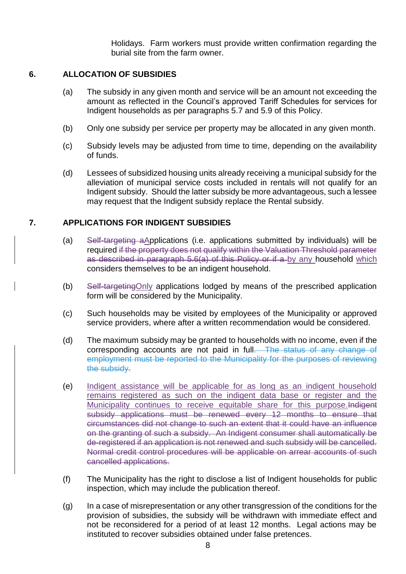<span id="page-9-0"></span>Holidays. Farm workers must provide written confirmation regarding the burial site from the farm owner.

#### **6. ALLOCATION OF SUBSIDIES**

- (a) The subsidy in any given month and service will be an amount not exceeding the amount as reflected in the Council's approved Tariff Schedules for services for Indigent households as per paragraphs 5.7 and 5.9 of this Policy.
- (b) Only one subsidy per service per property may be allocated in any given month.
- (c) Subsidy levels may be adjusted from time to time, depending on the availability of funds.
- (d) Lessees of subsidized housing units already receiving a municipal subsidy for the alleviation of municipal service costs included in rentals will not qualify for an Indigent subsidy. Should the latter subsidy be more advantageous, such a lessee may request that the Indigent subsidy replace the Rental subsidy.

#### **7. APPLICATIONS FOR INDIGENT SUBSIDIES**

- <span id="page-9-1"></span>(a) Self-targeting aApplications (i.e. applications submitted by individuals) will be required if the property does not qualify within the Valuation Threshold parameter as described in paragraph 5.6(a) of this Policy or if a by any household which considers themselves to be an indigent household.
- (b) Self-targetingOnly applications lodged by means of the prescribed application form will be considered by the Municipality.
- (c) Such households may be visited by employees of the Municipality or approved service providers, where after a written recommendation would be considered.
- (d) The maximum subsidy may be granted to households with no income, even if the corresponding accounts are not paid in full. The status of any change of employment must be reported to the Municipality for the purposes of reviewing the subsidy.
- (e) Indigent assistance will be applicable for as long as an indigent household remains registered as such on the indigent data base or register and the Municipality continues to receive equitable share for this purpose.Indigent subsidy applications must be renewed every 12 months to ensure that circumstances did not change to such an extent that it could have an influence on the granting of such a subsidy. An Indigent consumer shall automatically be de-registered if an application is not renewed and such subsidy will be cancelled. Normal credit control procedures will be applicable on arrear accounts of such cancelled applications.
- (f) The Municipality has the right to disclose a list of Indigent households for public inspection, which may include the publication thereof.
- (g) In a case of misrepresentation or any other transgression of the conditions for the provision of subsidies, the subsidy will be withdrawn with immediate effect and not be reconsidered for a period of at least 12 months. Legal actions may be instituted to recover subsidies obtained under false pretences.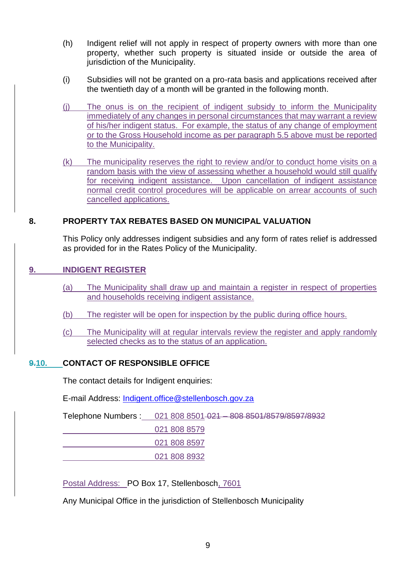- (h) Indigent relief will not apply in respect of property owners with more than one property, whether such property is situated inside or outside the area of jurisdiction of the Municipality.
- (i) Subsidies will not be granted on a pro-rata basis and applications received after the twentieth day of a month will be granted in the following month.
- (j) The onus is on the recipient of indigent subsidy to inform the Municipality immediately of any changes in personal circumstances that may warrant a review of his/her indigent status. For example, the status of any change of employment or to the Gross Household income as per paragraph 5.5 above must be reported to the Municipality.
- (k) The municipality reserves the right to review and/or to conduct home visits on a random basis with the view of assessing whether a household would still qualify for receiving indigent assistance. Upon cancellation of indigent assistance normal credit control procedures will be applicable on arrear accounts of such cancelled applications.

#### **8. PROPERTY TAX REBATES BASED ON MUNICIPAL VALUATION**

<span id="page-10-0"></span>This Policy only addresses indigent subsidies and any form of rates relief is addressed as provided for in the Rates Policy of the Municipality.

#### **9. INDIGENT REGISTER**

- (a) The Municipality shall draw up and maintain a register in respect of properties and households receiving indigent assistance.
- (b) The register will be open for inspection by the public during office hours.
- (c) The Municipality will at regular intervals review the register and apply randomly selected checks as to the status of an application.

#### **9.10. CONTACT OF RESPONSIBLE OFFICE**

The contact details for Indigent enquiries:

E-mail Address: [Indigent.office@stellenbosch.gov.za](mailto:Indigent.office@stellenbosch.gov.za)

Telephone Numbers : 021 808 8501 021 - 808 8501/8579/8597/8932

<span id="page-10-1"></span>021 808 8579

021 808 8597

021 808 8932

Postal Address: PO Box 17, Stellenbosch, 7601

Any Municipal Office in the jurisdiction of Stellenbosch Municipality